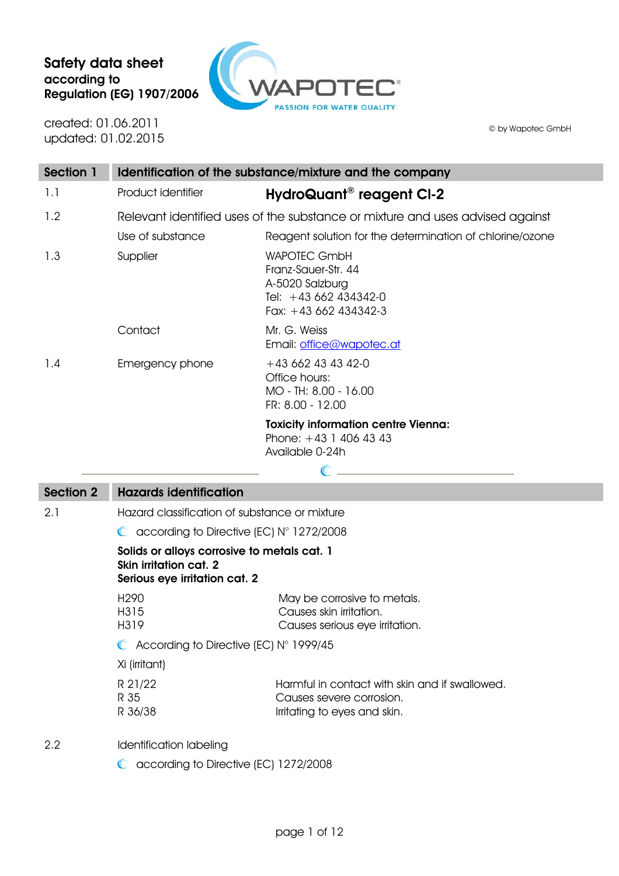# Safety data sheet according to Regulation (EG) 1907/2006



created: 01.06.2011 updated: 01.02.2015

© by Wapotec GmbH

| Section 1 | Identification of the substance/mixture and the company |                                                                                                                 |  |  |
|-----------|---------------------------------------------------------|-----------------------------------------------------------------------------------------------------------------|--|--|
| 1.1       | Product identifier                                      | HydroQuant <sup>®</sup> reagent CI-2                                                                            |  |  |
| 1.2       |                                                         | Relevant identified uses of the substance or mixture and uses advised against                                   |  |  |
|           | Use of substance                                        | Reagent solution for the determination of chlorine/ozone                                                        |  |  |
| 1.3       | Supplier                                                | <b>WAPOTEC GmbH</b><br>Franz-Sauer-Str, 44<br>A-5020 Salzburg<br>Tel: +43 662 434342-0<br>Fax: $+43662434342-3$ |  |  |
|           | Contact                                                 | Mr. G. Weiss<br>Email: office@wapotec.at                                                                        |  |  |
| 1.4       | Emergency phone                                         | $+436624343420$<br>Office hours:<br>MO - TH: 8.00 - 16.00<br>FR: 8.00 - 12.00                                   |  |  |
|           |                                                         | <b>Toxicity information centre Vienna:</b><br>Phone: $+43$ 1 406 43 43<br>Available 0-24h                       |  |  |

 $\mathbb{C}$ 

### Section 2 Hazards identification

2.1 Hazard classification of substance or mixture

C according to Directive (EC) N° 1272/2008

#### Solids or alloys corrosive to metals cat. 1 Skin irritation cat. 2 Serious eye irritation cat. 2

| H <sub>290</sub> |                                                  | May be corrosive to metals.                              |
|------------------|--------------------------------------------------|----------------------------------------------------------|
| H315             |                                                  | Causes skin irritation.                                  |
| H319             |                                                  | Causes serious eye irritation.                           |
|                  | $\bullet$ According to Directive (EC) N° 1999/45 |                                                          |
|                  | Xi (irritant)                                    |                                                          |
|                  | n n 1 100                                        | وبرزم كالمروس وباباه والمائي بالمتملوط ورميان الركووسوال |

| R 21/22 | Harmful in contact with skin and if swallowed. |
|---------|------------------------------------------------|
| R 35    | Causes severe corrosion.                       |
| R 36/38 | Irritating to eyes and skin.                   |

2.2 Identification labeling

C according to Directive (EC) 1272/2008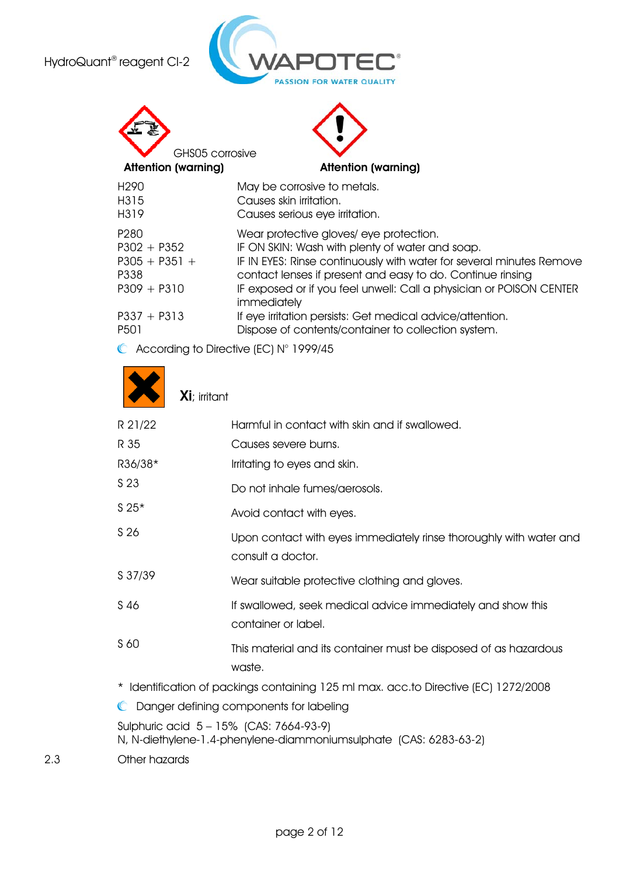

| GHS05 corrosive<br><b>Attention (warning)</b>                                 | <b>Attention (warning)</b>                                                                                                                                                                                                                                                                                             |
|-------------------------------------------------------------------------------|------------------------------------------------------------------------------------------------------------------------------------------------------------------------------------------------------------------------------------------------------------------------------------------------------------------------|
| H <sub>290</sub>                                                              | May be corrosive to metals.                                                                                                                                                                                                                                                                                            |
| H315<br>H319                                                                  | Causes skin irritation.<br>Causes serious eye irritation.                                                                                                                                                                                                                                                              |
| P <sub>280</sub><br>$P302 + P352$<br>$P305 + P351 +$<br>P338<br>$P309 + P310$ | Wear protective gloves/ eye protection.<br>IF ON SKIN: Wash with plenty of water and soap.<br>IF IN EYES: Rinse continuously with water for several minutes Remove<br>contact lenses if present and easy to do. Continue rinsing<br>IF exposed or if you feel unwell: Call a physician or POISON CENTER<br>immediately |
| $P337 + P313$<br>P <sub>50</sub> 1                                            | If eye irritation persists: Get medical advice/attention.<br>Dispose of contents/container to collection system.                                                                                                                                                                                                       |

C According to Directive (EC) N° 1999/45

Xi; irritant

|     | R 21/22       | Harmful in contact with skin and if swallowed.                                                               |
|-----|---------------|--------------------------------------------------------------------------------------------------------------|
|     | R 35          | Causes severe burns.                                                                                         |
|     | R36/38*       | Irritating to eyes and skin.                                                                                 |
|     | S 23          | Do not inhale fumes/aerosols.                                                                                |
|     | $S25*$        | Avoid contact with eyes.                                                                                     |
|     | S 26          | Upon contact with eyes immediately rinse thoroughly with water and<br>consult a doctor.                      |
|     | S 37/39       | Wear suitable protective clothing and gloves.                                                                |
|     | S 46          | If swallowed, seek medical advice immediately and show this<br>container or label.                           |
|     | S 60          | This material and its container must be disposed of as hazardous<br>waste.                                   |
|     |               | * Identification of packings containing 125 ml max. acc.to Directive (EC) 1272/2008                          |
|     |               | C Danger defining components for labeling                                                                    |
|     |               | Sulphuric acid 5 - 15% (CAS: 7664-93-9)<br>N, N-diethylene-1.4-phenylene-diammoniumsulphate (CAS: 6283-63-2) |
| 2.3 | Other hazards |                                                                                                              |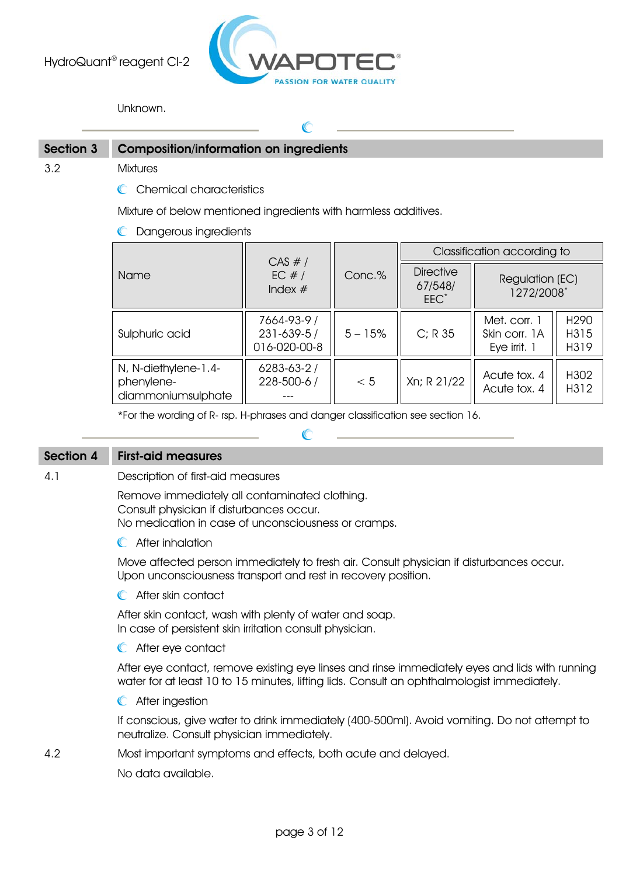

Unknown.

## Section 3 Composition/information on ingredients

3.2 Mixtures

C Chemical characteristics

Mixture of below mentioned ingredients with harmless additives.

**C** Dangerous ingredients

|                                                          | CAS #/                                    |           | Classification according to            |                                               |                      |
|----------------------------------------------------------|-------------------------------------------|-----------|----------------------------------------|-----------------------------------------------|----------------------|
| <b>Name</b>                                              | EC $#/$<br>Index $#$                      | Conc.%    | <b>Directive</b><br>67/548/<br>$EEC^*$ | Regulation (EC)<br>1272/2008*                 |                      |
| Sulphuric acid                                           | 7664-93-9 /<br>231-639-5/<br>016-020-00-8 | $5 - 15%$ | $C; R$ 35                              | Met. corr. 1<br>Skin corr. 1A<br>Eye irrit. 1 | H290<br>H315<br>H319 |
| N, N-diethylene-1.4-<br>phenylene-<br>diammoniumsulphate | $6283 - 63 - 2/$<br>228-500-6 /           | < 5       | Xn; R 21/22                            | Acute tox. 4<br>Acute tox. 4                  | H302<br>H312         |

\*For the wording of R- rsp. H-phrases and danger classification see section 16.

### Section 4 First-aid measures

4.1 Description of first-aid measures

Remove immediately all contaminated clothing. Consult physician if disturbances occur. No medication in case of unconsciousness or cramps.

**C** After inhalation

Move affected person immediately to fresh air. Consult physician if disturbances occur. Upon unconsciousness transport and rest in recovery position.

**C** After skin contact

After skin contact, wash with plenty of water and soap. In case of persistent skin irritation consult physician.

**C** After eye contact

After eye contact, remove existing eye linses and rinse immediately eyes and lids with running water for at least 10 to 15 minutes, lifting lids. Consult an ophthalmologist immediately.

**C** After ingestion

If conscious, give water to drink immediately (400-500ml). Avoid vomiting. Do not attempt to neutralize. Consult physician immediately.

4.2 Most important symptoms and effects, both acute and delayed.

No data available.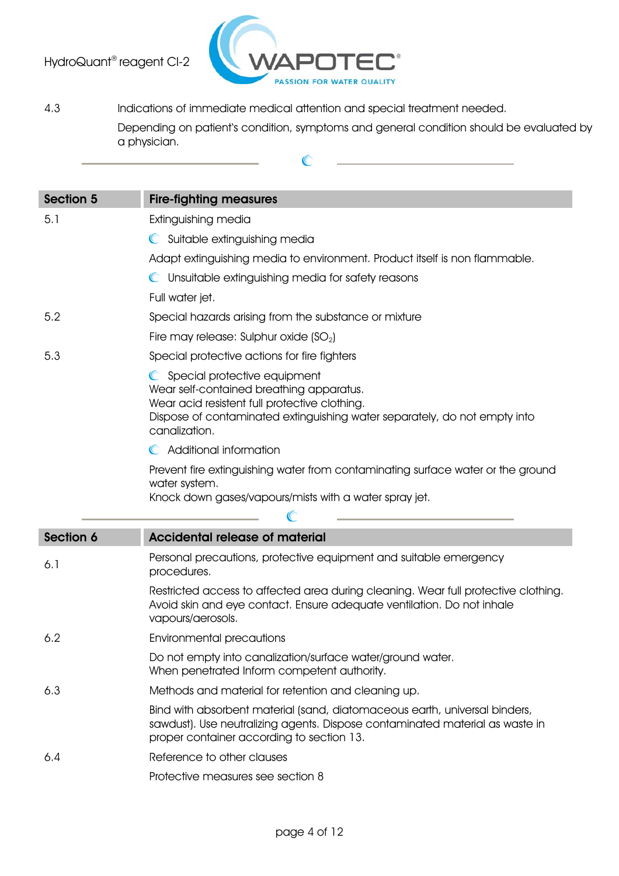

4.3 Indications of immediate medical attention and special treatment needed. Depending on patient's condition, symptoms and general condition should be evaluated by a physician.

 $\mathbb{C}$ 

| <b>Section 5</b> | <b>Fire-fighting measures</b>                                                                                                                                                                                             |  |
|------------------|---------------------------------------------------------------------------------------------------------------------------------------------------------------------------------------------------------------------------|--|
| 5.1              | Extinguishing media                                                                                                                                                                                                       |  |
|                  | Suitable extinguishing media<br>$\mathbb{C}$                                                                                                                                                                              |  |
|                  | Adapt extinguishing media to environment. Product itself is non flammable.                                                                                                                                                |  |
|                  | C Unsuitable extinguishing media for safety reasons                                                                                                                                                                       |  |
|                  | Full water jet.                                                                                                                                                                                                           |  |
| 5.2              | Special hazards arising from the substance or mixture                                                                                                                                                                     |  |
|                  | Fire may release: Sulphur oxide (SO <sub>2</sub> )                                                                                                                                                                        |  |
| 5.3              | Special protective actions for fire fighters                                                                                                                                                                              |  |
|                  | C Special protective equipment<br>Wear self-contained breathing apparatus.<br>Wear acid resistent full protective clothing.<br>Dispose of contaminated extinguishing water separately, do not empty into<br>canalization. |  |
|                  | Additional information<br>$\mathbb{C}$                                                                                                                                                                                    |  |
|                  | Prevent fire extinguishing water from contaminating surface water or the ground<br>water system.<br>Knock down gases/vapours/mists with a water spray jet.                                                                |  |
|                  |                                                                                                                                                                                                                           |  |
| <b>Section 6</b> | <b>Accidental release of material</b>                                                                                                                                                                                     |  |
| 6.1              | Personal precautions, protective equipment and suitable emergency<br>procedures.                                                                                                                                          |  |
|                  | Restricted access to affected area during cleaning. Wear full protective clothing.<br>Avoid skin and eye contact. Ensure adequate ventilation. Do not inhale<br>vapours/aerosols.                                         |  |
| 6.2              | <b>Environmental precautions</b>                                                                                                                                                                                          |  |
|                  | Do not empty into canalization/surface water/ground water.<br>When penetrated Inform competent authority.                                                                                                                 |  |
| 6.3              | Methods and material for retention and cleaning up.                                                                                                                                                                       |  |
|                  | Bind with absorbent material (sand, diatomaceous earth, universal binders,<br>sawdust). Use neutralizing agents. Dispose contaminated material as waste in<br>proper container according to section 13.                   |  |
| 6.4              | Reference to other clauses                                                                                                                                                                                                |  |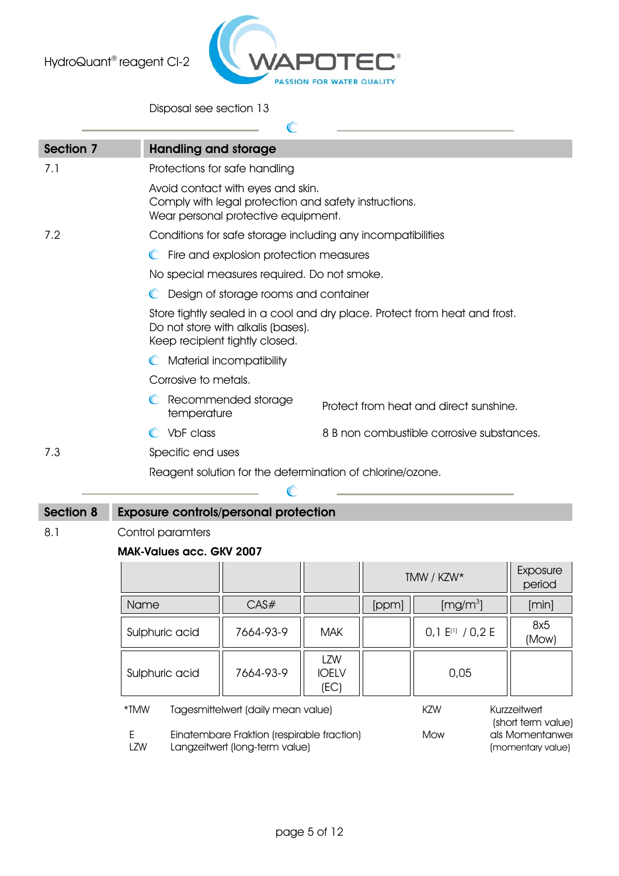

Disposal see section 13

| <b>Section 7</b> | <b>Handling and storage</b>                  |                                                                                                                                   |                             |       |                                                                            |                    |
|------------------|----------------------------------------------|-----------------------------------------------------------------------------------------------------------------------------------|-----------------------------|-------|----------------------------------------------------------------------------|--------------------|
| 7.1              |                                              | Protections for safe handling                                                                                                     |                             |       |                                                                            |                    |
|                  |                                              | Avoid contact with eyes and skin.<br>Comply with legal protection and safety instructions.<br>Wear personal protective equipment. |                             |       |                                                                            |                    |
| 7.2              |                                              | Conditions for safe storage including any incompatibilities                                                                       |                             |       |                                                                            |                    |
|                  |                                              | C Fire and explosion protection measures                                                                                          |                             |       |                                                                            |                    |
|                  |                                              | No special measures required. Do not smoke.                                                                                       |                             |       |                                                                            |                    |
|                  |                                              | C Design of storage rooms and container                                                                                           |                             |       |                                                                            |                    |
|                  |                                              | Do not store with alkalis (bases).<br>Keep recipient tightly closed.                                                              |                             |       | Store tightly sealed in a cool and dry place. Protect from heat and frost. |                    |
|                  |                                              | Material incompatibility                                                                                                          |                             |       |                                                                            |                    |
|                  | Corrosive to metals.                         |                                                                                                                                   |                             |       |                                                                            |                    |
|                  | C Recommended storage<br>temperature         |                                                                                                                                   |                             |       | Protect from heat and direct sunshine.                                     |                    |
|                  | C VbF class                                  |                                                                                                                                   |                             |       | 8 B non combustible corrosive substances.                                  |                    |
| 7.3              | Specific end uses                            |                                                                                                                                   |                             |       |                                                                            |                    |
|                  |                                              | Reagent solution for the determination of chlorine/ozone.                                                                         |                             |       |                                                                            |                    |
|                  |                                              |                                                                                                                                   |                             |       |                                                                            |                    |
| <b>Section 8</b> | <b>Exposure controls/personal protection</b> |                                                                                                                                   |                             |       |                                                                            |                    |
| 8.1              | Control paramters                            |                                                                                                                                   |                             |       |                                                                            |                    |
|                  | <b>MAK-Values acc. GKV 2007</b>              |                                                                                                                                   |                             |       |                                                                            |                    |
|                  |                                              |                                                                                                                                   |                             |       | TMW / KZW*                                                                 | Exposure<br>period |
|                  | Name                                         | CAS#                                                                                                                              |                             | [ppm] | [mg/m <sup>3</sup> ]                                                       | [min]              |
|                  | Sulphuric acid                               | 7664-93-9                                                                                                                         | <b>MAK</b>                  |       | $0,1$ $E^{[1]}$ / $0,2$ E                                                  | 8x5<br>(Mow)       |
|                  | Sulphuric acid                               | 7664-93-9                                                                                                                         | LZW<br><b>IOELV</b><br>(EC) |       | 0,05                                                                       |                    |
|                  | $*TMW$                                       | Tagesmittelwert (daily mean value)                                                                                                |                             |       | <b>KZW</b>                                                                 | Kurzzeitwert       |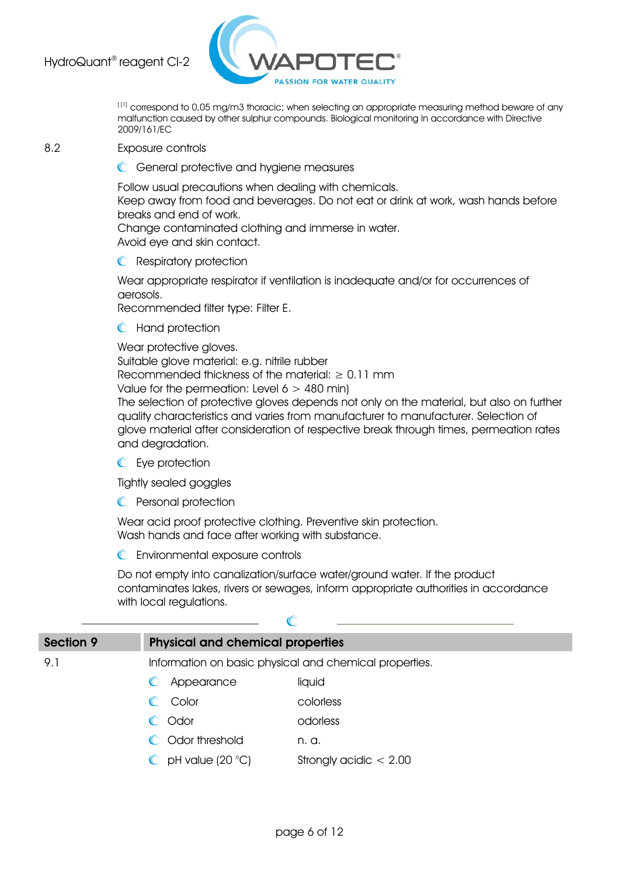

[ [1] correspond to 0,05 mg/m3 thoracic; when selecting an appropriate measuring method beware of any malfunction caused by other sulphur compounds. Biological monitoring In accordance with Directive 2009/161/EC

#### 8.2 Exposure controls

**C** General protective and hygiene measures

Follow usual precautions when dealing with chemicals. Keep away from food and beverages. Do not eat or drink at work, wash hands before breaks and end of work.

Change contaminated clothing and immerse in water. Avoid eye and skin contact.

**C** Respiratory protection

Wear appropriate respirator if ventilation is inadequate and/or for occurrences of aerosols.

Recommended filter type: Filter E.

**C** Hand protection

Wear protective gloves.

Suitable glove material: e.g. nitrile rubber Recommended thickness of the material:  $\geq 0.11$  mm Value for the permeation: Level  $6 > 480$  min) The selection of protective gloves depends not only on the material, but also on further

quality characteristics and varies from manufacturer to manufacturer. Selection of glove material after consideration of respective break through times, permeation rates and degradation.

**C** Eye protection

Tightly sealed goggles

**C** Personal protection

Wear acid proof protective clothing. Preventive skin protection. Wash hands and face after working with substance.

 $\mathcal{C}$ 

Environmental exposure controls

Do not empty into canalization/surface water/ground water. If the product contaminates lakes, rivers or sewages, inform appropriate authorities in accordance with local regulations.

| <b>Section 9</b> | <b>Physical and chemical properties</b>                |                          |  |  |
|------------------|--------------------------------------------------------|--------------------------|--|--|
| 9.1              | Information on basic physical and chemical properties. |                          |  |  |
|                  | Appearance<br>$\mathbb C$                              | liquid                   |  |  |
|                  | Color<br>$\blacksquare$                                | colorless                |  |  |
|                  | Odor<br>$\blacksquare$                                 | odorless                 |  |  |
|                  | C Odor threshold                                       | n. a.                    |  |  |
|                  | $\bullet$ pH value (20 $\degree$ C)                    | Strongly acidic $< 2.00$ |  |  |
|                  |                                                        |                          |  |  |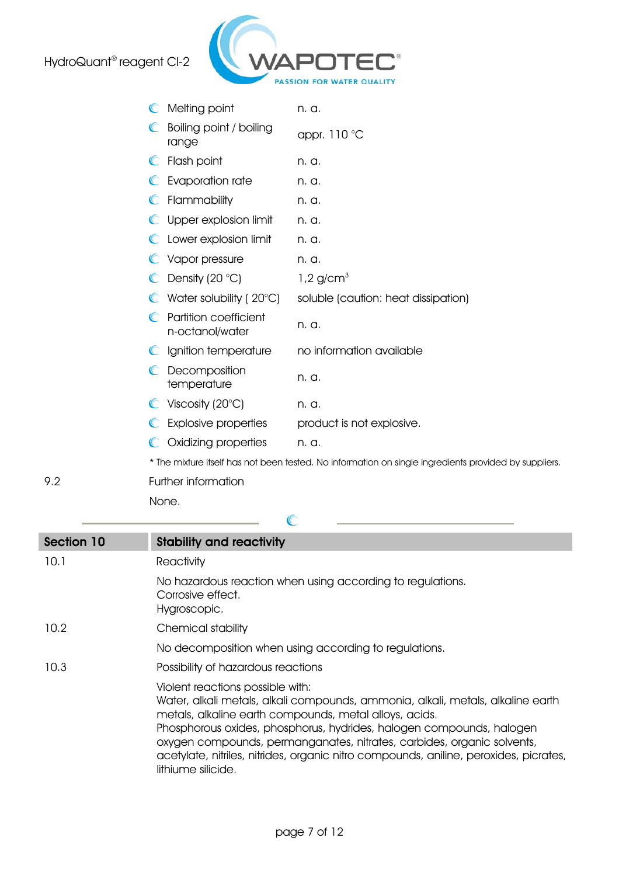

|             | Melting point                                   | n. a.                                                                                                 |
|-------------|-------------------------------------------------|-------------------------------------------------------------------------------------------------------|
|             | Boiling point / boiling<br>range                | appr. 110 °C                                                                                          |
| $\mathbb C$ | Flash point                                     | n. a.                                                                                                 |
| C           | Evaporation rate                                | n. a.                                                                                                 |
|             | Flammability                                    | n. a.                                                                                                 |
|             | Upper explosion limit                           | n. a.                                                                                                 |
|             | Lower explosion limit                           | n. a.                                                                                                 |
|             | Vapor pressure                                  | n. a.                                                                                                 |
|             | $\bullet$ Density (20 °C)                       | $1,2$ g/cm <sup>3</sup>                                                                               |
|             | Water solubility ( $20^{\circ}$ C)              | soluble (caution: heat dissipation)                                                                   |
|             | <b>Partition coefficient</b><br>n-octanol/water | n. a.                                                                                                 |
|             | Ignition temperature                            | no information available                                                                              |
|             | Decomposition<br>temperature                    | n. a.                                                                                                 |
|             | Viscosity (20 $\degree$ C)                      | n. a.                                                                                                 |
|             | Explosive properties                            | product is not explosive.                                                                             |
|             | Oxidizing properties                            | n. a.                                                                                                 |
|             |                                                 | * The mixture itself has not been tested. No information on single ingredients provided by suppliers. |
|             | Eurthor information                             |                                                                                                       |

9.2 Further information None.

| <b>Section 10</b> | <b>Stability and reactivity</b>                                                                                                                                                                                                                                                                                                                                                                                                                |
|-------------------|------------------------------------------------------------------------------------------------------------------------------------------------------------------------------------------------------------------------------------------------------------------------------------------------------------------------------------------------------------------------------------------------------------------------------------------------|
| 10.1              | Reactivity                                                                                                                                                                                                                                                                                                                                                                                                                                     |
|                   | No hazardous reaction when using according to regulations.<br>Corrosive effect.<br>Hygroscopic.                                                                                                                                                                                                                                                                                                                                                |
| 10.2              | Chemical stability                                                                                                                                                                                                                                                                                                                                                                                                                             |
|                   | No decomposition when using according to regulations.                                                                                                                                                                                                                                                                                                                                                                                          |
| 10.3              | Possibility of hazardous reactions                                                                                                                                                                                                                                                                                                                                                                                                             |
|                   | Violent reactions possible with:<br>Water, alkali metals, alkali compounds, ammonia, alkali, metals, alkaline earth<br>metals, alkaline earth compounds, metal alloys, acids.<br>Phosphorous oxides, phosphorus, hydrides, halogen compounds, halogen<br>oxygen compounds, permanganates, nitrates, carbides, organic solvents,<br>acetylate, nitriles, nitrides, organic nitro compounds, aniline, peroxides, picrates,<br>lithiume silicide. |

 $\mathcal C$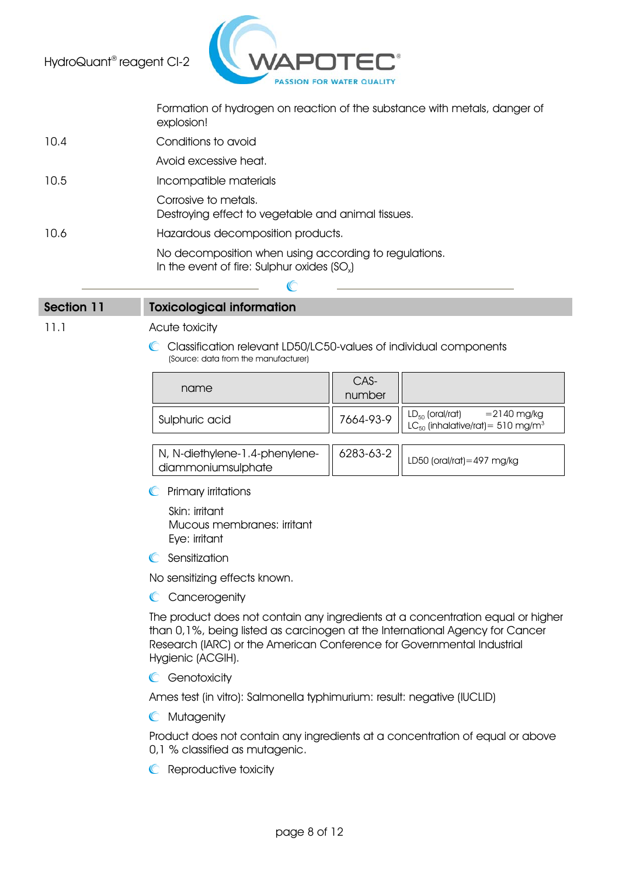

Formation of hydrogen on reaction of the substance with metals, danger of explosion!

10.4 Conditions to avoid Avoid excessive heat. 10.5 Incompatible materials Corrosive to metals. Destroying effect to vegetable and animal tissues. 10.6 Hazardous decomposition products. No decomposition when using according to regulations. In the event of fire: Sulphur oxides  $(SO<sub>x</sub>)$ 

### Section 11 Toxicological information

11.1 **Acute toxicity** 

C Classification relevant LD50/LC50-values of individual components (Source: data from the manufacturer)

| name           | CAS-<br>number |                                                                                                                                                                               |
|----------------|----------------|-------------------------------------------------------------------------------------------------------------------------------------------------------------------------------|
| Sulphuric acid |                | 7664-93-9 $\Big \Big  \begin{array}{cc} \text{LD}_{50} \text{ (oral/rat)} & = 2140 \text{ mg/kg} \\ \text{LC}_{50} \text{ (inhalative/rat)} = 510 \text{ mg/m}^3 \end{array}$ |

| iv, N-diethylene-1.4-phenylene-    6283-63-2    LD50 (oral/rat)=497 mg/kg |  |
|---------------------------------------------------------------------------|--|
| diammoniumsulphate                                                        |  |

 $\mathbb{C}$ Primary irritations

> Skin: irritant Mucous membranes: irritant Eye: irritant

**C** Sensitization

No sensitizing effects known.

C Cancerogenity

The product does not contain any ingredients at a concentration equal or higher than 0,1%, being listed as carcinogen at the International Agency for Cancer Research (IARC) or the American Conference for Governmental Industrial Hygienic (ACGIH).

**C** Genotoxicity

Ames test (in vitro): Salmonella typhimurium: result: negative (IUCLID)

**C** Mutagenity

Product does not contain any ingredients at a concentration of equal or above 0,1 % classified as mutagenic.

**C** Reproductive toxicity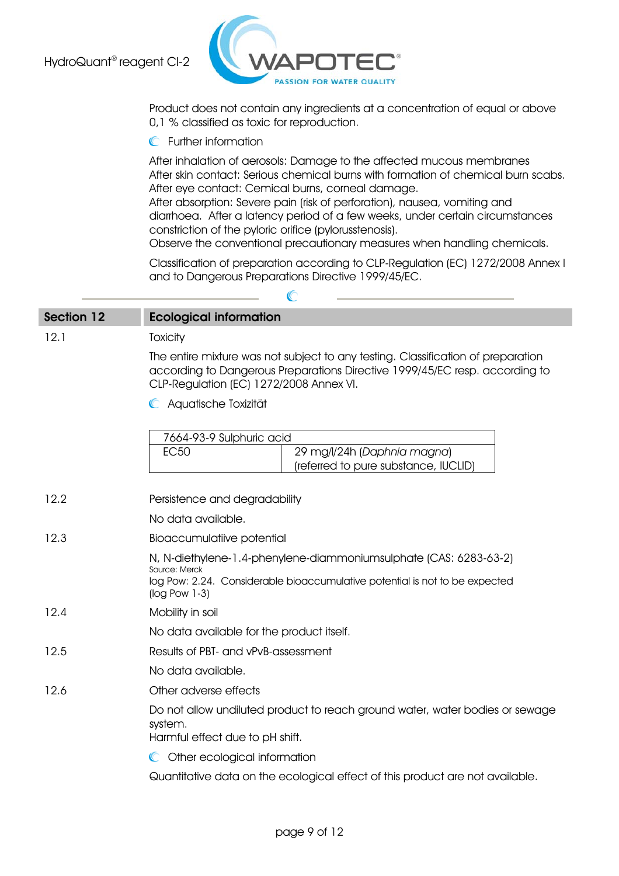

Product does not contain any ingredients at a concentration of equal or above 0,1 % classified as toxic for reproduction.

**C** Further information

After inhalation of aerosols: Damage to the affected mucous membranes After skin contact: Serious chemical burns with formation of chemical burn scabs. After eye contact: Cemical burns, corneal damage.

After absorption: Severe pain (risk of perforation), nausea, vomiting and diarrhoea. After a latency period of a few weeks, under certain circumstances constriction of the pyloric orifice (pylorusstenosis).

Observe the conventional precautionary measures when handling chemicals.

Classification of preparation according to CLP-Regulation (EC) 1272/2008 Annex I and to Dangerous Preparations Directive 1999/45/EC.

| <b>Section 12</b> | <b>Ecological information</b>                                                                                                                                                                              |
|-------------------|------------------------------------------------------------------------------------------------------------------------------------------------------------------------------------------------------------|
| 12.1              | Toxicity                                                                                                                                                                                                   |
|                   | The entire mixture was not subject to any testing. Classification of preparation<br>according to Dangerous Preparations Directive 1999/45/EC resp. according to<br>CLP-Regulation (EC) 1272/2008 Annex VI. |
|                   | C Aquatische Toxizität                                                                                                                                                                                     |
|                   | 7664-93-9 Sulphuric acid<br><b>EC50</b><br>29 mg/l/24h (Daphnia magna)<br>(referred to pure substance, IUCLID)                                                                                             |
| 12.2              | Persistence and degradability                                                                                                                                                                              |
|                   | No data available.                                                                                                                                                                                         |
| 12.3              | <b>Bioaccumulatiive potential</b>                                                                                                                                                                          |
|                   | N, N-diethylene-1.4-phenylene-diammoniumsulphate (CAS: 6283-63-2)<br>Source: Merck<br>log Pow: 2.24. Considerable bioaccumulative potential is not to be expected<br>$(log$ Pow 1-3)                       |
| 12.4              | Mobility in soil                                                                                                                                                                                           |
|                   | No data available for the product itself.                                                                                                                                                                  |
| 12.5              | Results of PBT- and vPvB-assessment                                                                                                                                                                        |
|                   | No data available.                                                                                                                                                                                         |
| 12.6              | Other adverse effects                                                                                                                                                                                      |
|                   | Do not allow undiluted product to reach ground water, water bodies or sewage<br>system.<br>Harmful effect due to pH shift.                                                                                 |
|                   | Other ecological information<br>$\mathbb{C}$                                                                                                                                                               |
|                   | Quantitative data on the ecological effect of this product are not available.                                                                                                                              |

 $\sqrt{2}$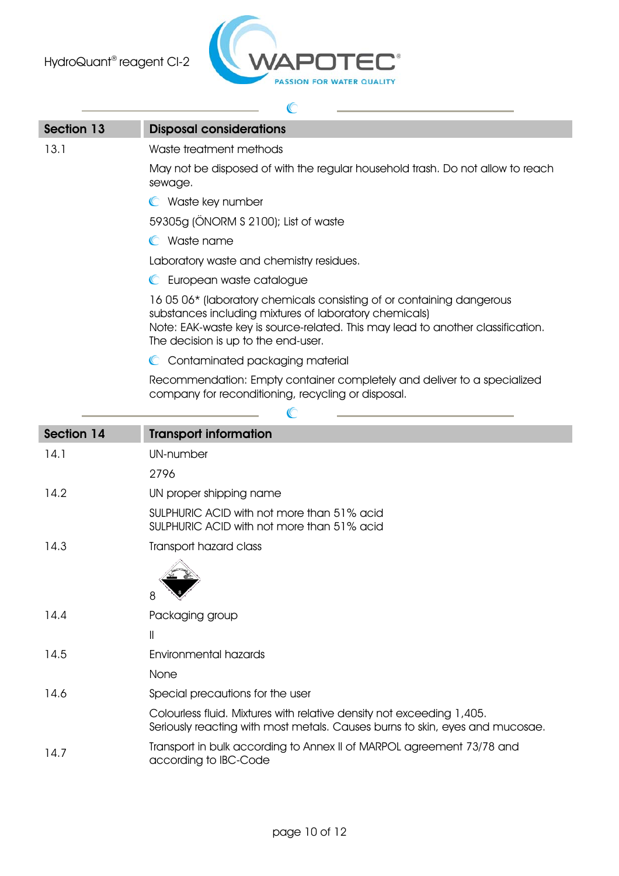

| Section 13 | <b>Disposal considerations</b>                                                                                                                                                                                                                            |  |
|------------|-----------------------------------------------------------------------------------------------------------------------------------------------------------------------------------------------------------------------------------------------------------|--|
| 13.1       | Waste treatment methods                                                                                                                                                                                                                                   |  |
|            | May not be disposed of with the regular household trash. Do not allow to reach<br>sewage.                                                                                                                                                                 |  |
|            | C Waste key number                                                                                                                                                                                                                                        |  |
|            | 59305g (ÖNORM S 2100); List of waste                                                                                                                                                                                                                      |  |
|            | C Waste name                                                                                                                                                                                                                                              |  |
|            | Laboratory waste and chemistry residues.                                                                                                                                                                                                                  |  |
|            | C European waste catalogue                                                                                                                                                                                                                                |  |
|            | 16 05 06* (laboratory chemicals consisting of or containing dangerous<br>substances including mixtures of laboratory chemicals)<br>Note: EAK-waste key is source-related. This may lead to another classification.<br>The decision is up to the end-user. |  |
|            | Contaminated packaging material<br>$\mathbb{C}$                                                                                                                                                                                                           |  |
|            | Recommendation: Empty container completely and deliver to a specialized<br>company for reconditioning, recycling or disposal.                                                                                                                             |  |
|            |                                                                                                                                                                                                                                                           |  |
| Section 14 | <b>Transport information</b>                                                                                                                                                                                                                              |  |
| 14.1       | <b>UN-number</b>                                                                                                                                                                                                                                          |  |
|            | 2796                                                                                                                                                                                                                                                      |  |
| 14.2       | UN proper shipping name                                                                                                                                                                                                                                   |  |
|            | SULPHURIC ACID with not more than 51% acid<br>SULPHURIC ACID with not more than 51% acid                                                                                                                                                                  |  |
| 14.3       | Transport hazard class                                                                                                                                                                                                                                    |  |
|            |                                                                                                                                                                                                                                                           |  |
| 14.4       | Packaging group                                                                                                                                                                                                                                           |  |
|            | $\label{eq:1} \bigsqcup$                                                                                                                                                                                                                                  |  |
| 14.5       | <b>Environmental hazards</b>                                                                                                                                                                                                                              |  |
|            | None                                                                                                                                                                                                                                                      |  |
| 14.6       | Special precautions for the user                                                                                                                                                                                                                          |  |

| Colourless fluid. Mixtures with relative density not exceeding 1,405.<br>Seriously reacting with most metals. Causes burns to skin, eyes and mucosae. |
|-------------------------------------------------------------------------------------------------------------------------------------------------------|
| Transport in bulk according to Annex II of MARPOL agreement 73/78 and                                                                                 |

14.7 Transport in bulk according to Annex II of MARPOL agreement 73/78 and according to IBC-Code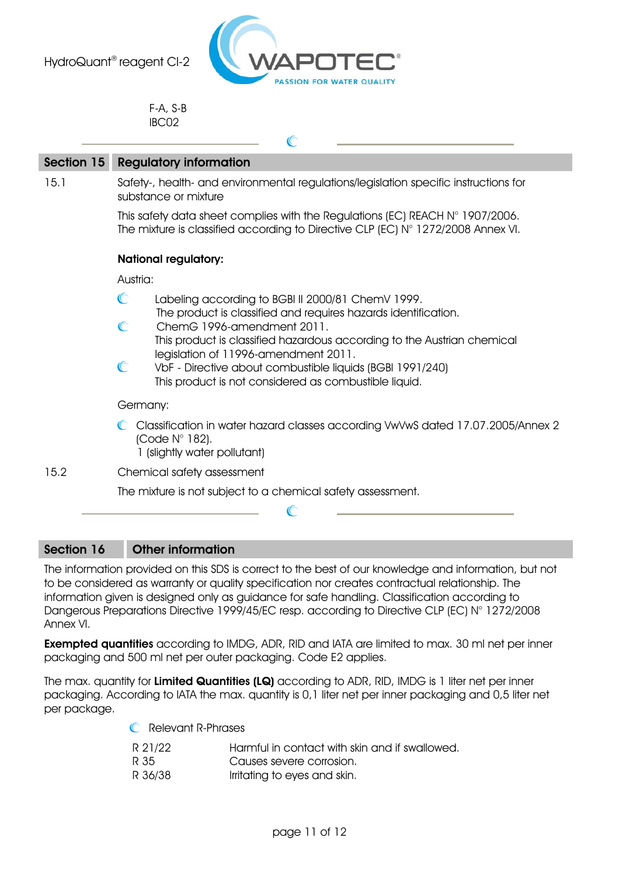

F-A, S-B IBC02

| Section 15 | <b>Regulatory information</b>                                                                                                                                                                                                                                                                       |  |  |
|------------|-----------------------------------------------------------------------------------------------------------------------------------------------------------------------------------------------------------------------------------------------------------------------------------------------------|--|--|
| 15.1       | Safety-, health- and environmental regulations/legislation specific instructions for<br>substance or mixture<br>This safety data sheet complies with the Regulations (EC) REACH $N^{\circ}$ 1907/2006.<br>The mixture is classified according to Directive CLP (EC) $N^{\circ}$ 1272/2008 Annex VI. |  |  |
|            |                                                                                                                                                                                                                                                                                                     |  |  |
|            | <b>National regulatory:</b>                                                                                                                                                                                                                                                                         |  |  |
|            | Austria:                                                                                                                                                                                                                                                                                            |  |  |
|            | C<br>Labeling according to BGBI II 2000/81 ChemV 1999.<br>The product is classified and requires hazards identification.                                                                                                                                                                            |  |  |
|            | C<br>ChemG 1996-amendment 2011.<br>This product is classified hazardous according to the Austrian chemical                                                                                                                                                                                          |  |  |
|            | legislation of 11996-amendment 2011.<br>C<br>VbF - Directive about combustible liquids (BGBI 1991/240)<br>This product is not considered as combustible liquid.                                                                                                                                     |  |  |
|            | Germany:                                                                                                                                                                                                                                                                                            |  |  |
|            | Classification in water hazard classes according VwVwS dated 17.07.2005/Annex 2<br>(Code $N^{\circ}$ 182).<br>1 (slightly water pollutant)                                                                                                                                                          |  |  |
| 15.2       | Chemical safety assessment                                                                                                                                                                                                                                                                          |  |  |
|            | The mixture is not subject to a chemical safety assessment.                                                                                                                                                                                                                                         |  |  |
|            |                                                                                                                                                                                                                                                                                                     |  |  |

# Section 16 Other information

The information provided on this SDS is correct to the best of our knowledge and information, but not to be considered as warranty or quality specification nor creates contractual relationship. The information given is designed only as guidance for safe handling. Classification according to Dangerous Preparations Directive 1999/45/EC resp. according to Directive CLP (EC) N° 1272/2008 Annex VI.

Exempted quantities according to IMDG, ADR, RID and IATA are limited to max. 30 ml net per inner packaging and 500 ml net per outer packaging. Code E2 applies.

The max. quantity for Limited Quantities (LQ) according to ADR, RID, IMDG is 1 liter net per inner packaging. According to IATA the max. quantity is 0,1 liter net per inner packaging and 0,5 liter net per package.

**C** Relevant R-Phrases

| R 21/22 | Harmful in contact with skin and if swallowed. |
|---------|------------------------------------------------|
| R 35    | Causes severe corrosion.                       |
| R 36/38 | Irritating to eyes and skin.                   |